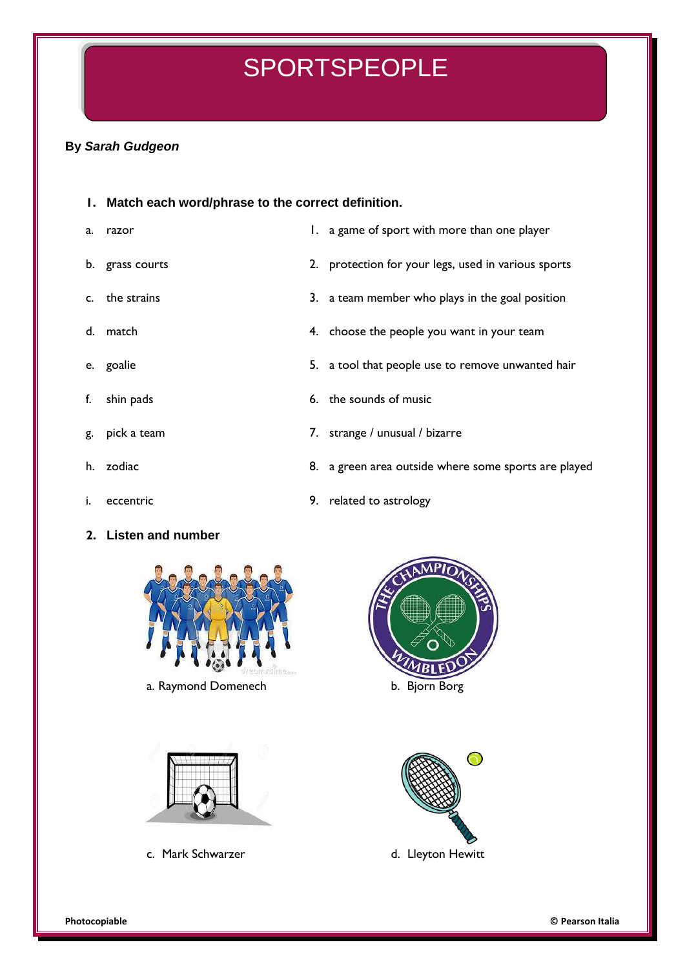## SPORTSPEOPLE

## **By** *Sarah Gudgeon*

## **1. Match each word/phrase to the correct definition.**

- 
- 
- 
- 
- 
- 
- 
- 
- 
- **2. Listen and number**



- b. grass courts **2. protection for your legs, used in various sports**
- c. the strains 3. a team member who plays in the goal position
- d. match **4.** choose the people you want in your team
- e. goalie **5.** a tool that people use to remove unwanted hair
- f. shin pads 6. the sounds of music
- g. pick a team 7. strange / unusual / bizarre
- h. zodiac **8. a green area outside where some sports are played**
- i. eccentric 9. related to astrology



a. Raymond Domenech b. Bjorn Borg





c. Mark Schwarzer d. Lleyton Hewitt

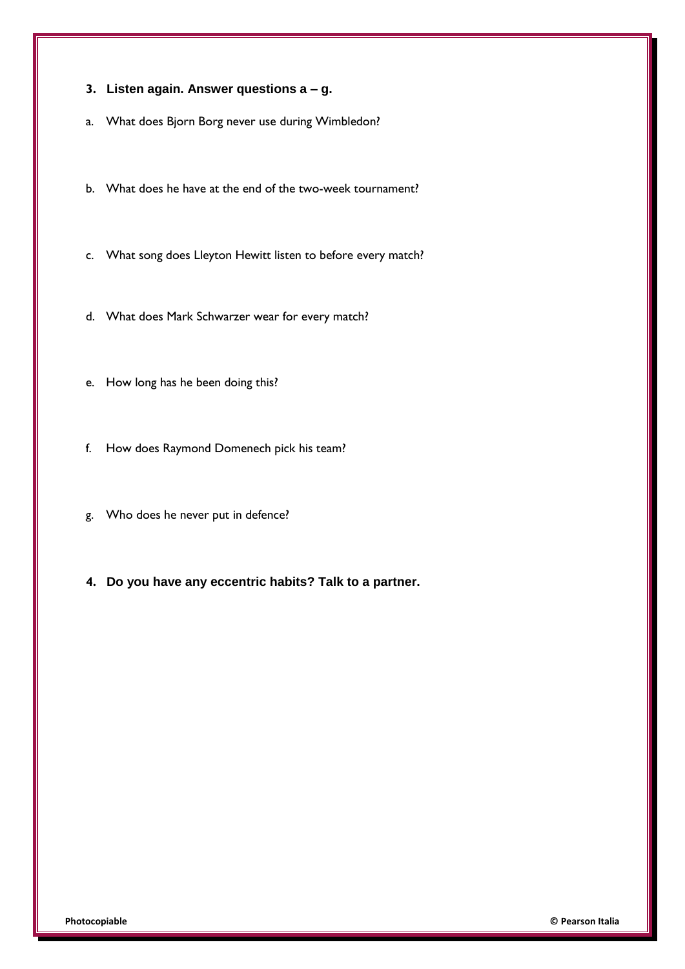- **3. Listen again. Answer questions a – g.**
- a. What does Bjorn Borg never use during Wimbledon?
- b. What does he have at the end of the two-week tournament?
- c. What song does Lleyton Hewitt listen to before every match?
- d. What does Mark Schwarzer wear for every match?
- e. How long has he been doing this?
- f. How does Raymond Domenech pick his team?
- g. Who does he never put in defence?
- **4. Do you have any eccentric habits? Talk to a partner.**